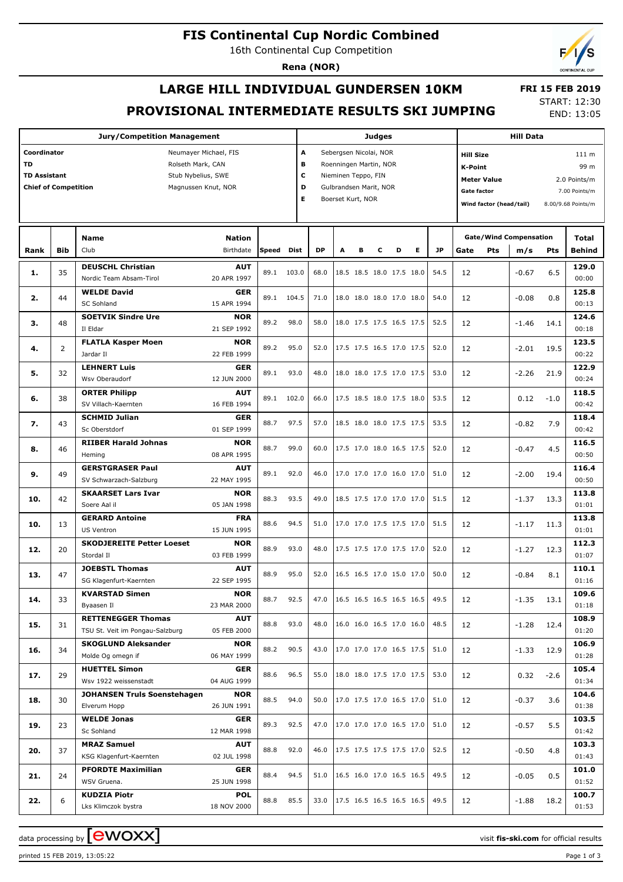## **FIS Continental Cup Nordic Combined**

16th Continental Cup Competition

**Rena (NOR)**

# **LARGE HILL INDIVIDUAL GUNDERSEN 10KM PROVISIONAL INTERMEDIATE RESULTS SKI JUMPING**

 **FRI 15 FEB 2019** START: 12:30 END: 13:05

**Jury/Competition Management Coordinator** Neumayer Michael, FIS **TD** Rolseth Mark, CAN **TD Assistant** Stub Nybelius, SWE **Chief of Competition** Magnussen Knut, NOR **Judges A** Sebergsen Nicolai, NOR **B** Roenningen Martin, NOR **C** Nieminen Teppo, FIN **D** Gulbrandsen Marit, NOR **E** Boerset Kurt, NOR **Hill Data K-Point** 99 m **Hill Size** 111 m **Meter Value** 2.0 Points/m Gate factor **Gate factor** 7.00 Points/m **Wind factor (head/tail)** 8.00/9.68 Points/m Club Birthdate **Nation Rank Speed Dist DP A B C D E JP Total m/s Pts Gate/Wind Compensation Gate** Pts  $m/s$  Pts Behind **DEUSCHL Christian** Nordic Team Absam-Tirol **AUT** 20 APR 1997 35 89.1 103.0 68.0 18.5 18.5 18.0 17.5 18.0 54.5 **1.** 12 -0.67 6.5 **129.0** 00:00 **WELDE David** SC Sohland **GER** 15 APR 1994 44 89.1 104.5 71.0 18.0 18.0 18.0 17.0 18.0 54.0 **2.** 12 -0.08 0.8 **125.8** 00:13 **SOETVIK Sindre Ure NOR** 21 SEP 1992 48 89.2 98.0 58.0 18.0 17.5 17.5 16.5 17.5 52.5 **3.** 12 -1.46 14.1 **124.6** 00:18 **FLATLA Kasper Moen NOR** 22 FEB 1999 2 89.2 95.0 52.0 17.5 17.5 16.5 17.0 17.5 52.0 **4.** 12 -2.01 19.5 **123.5**  $00.22$ **LEHNERT Luis** Wsv Oberaudorf **GER** 12 JUN 2000 32 89.1 93.0 48.0 18.0 18.0 17.5 17.0 17.5 53.0 **5.** 12 -2.26 21.9 **122.9** 00:24 **ORTER Philipp** SV Villach-Kaernten **AUT** 16 FEB 1994 38 89.1 102.0 66.0 17.5 18.5 18.0 17.5 18.0 53.5 **6.** 12 0.12 -1.0 **118.5**  $00.42$ **SCHMID Julian** Sc Oberstdorf **GER** 01 SEP 1999 **7.**  $\begin{bmatrix} 43 \end{bmatrix}$   $\begin{bmatrix} 0 \end{bmatrix}$   $\begin{bmatrix} 0.82 \end{bmatrix}$   $\begin{bmatrix} 0.82 \end{bmatrix}$   $\begin{bmatrix} 0.82 \end{bmatrix}$   $\begin{bmatrix} 0.82 \end{bmatrix}$   $\begin{bmatrix} 0.82 \end{bmatrix}$   $\begin{bmatrix} 0.82 \end{bmatrix}$   $\begin{bmatrix} 0.82 \end{bmatrix}$   $\begin{bmatrix} 0.82 \end{bmatrix}$   $\begin{bmatrix} 0.82 \end{bmatrix}$ **118.4** 00:42 **RIIBER Harald Johnas NOR** 08 APR 1995 **8.** | 46 | ... ... ... .... | 88.7 99.0 | 60.0 | 17.5 17.0 18.0 16.5 17.5 | 52.0 | 12 | | -0.47 4.5 **116.5** 00:50 **AUT** 22 MAY 1995 **116.4** 00:50 **NOR** 05 JAN 1998 **113.8** 01:01 **FRA** 15 JUN 1995 **113.8** 01:01

| о.  | ט+ | Hemina                             | 08 APR 1995 |      |      |      |                          |  |      | ᅩ  | -ט. ד   | ر.+    | 00:50 |
|-----|----|------------------------------------|-------------|------|------|------|--------------------------|--|------|----|---------|--------|-------|
| 9.  | 49 | <b>GERSTGRASER Paul</b>            | <b>AUT</b>  | 89.1 | 92.0 | 46.0 | 17.0 17.0 17.0 16.0 17.0 |  | 51.0 | 12 | $-2.00$ | 19.4   | 116.4 |
|     |    | SV Schwarzach-Salzburg             | 22 MAY 1995 |      |      |      |                          |  |      |    |         |        | 00:50 |
| 10. | 42 | <b>SKAARSET Lars Ivar</b>          | <b>NOR</b>  | 88.3 | 93.5 | 49.0 | 18.5 17.5 17.0 17.0 17.0 |  | 51.5 | 12 | $-1.37$ | 13.3   | 113.8 |
|     |    | Soere Aal il                       | 05 JAN 1998 |      |      |      |                          |  |      |    |         |        | 01:01 |
| 10. | 13 | <b>GERARD Antoine</b>              | <b>FRA</b>  | 88.6 | 94.5 | 51.0 | 17.0 17.0 17.5 17.5 17.0 |  | 51.5 | 12 | $-1.17$ | 11.3   | 113.8 |
|     |    | <b>US Ventron</b>                  | 15 JUN 1995 |      |      |      |                          |  |      |    |         |        | 01:01 |
| 12. | 20 | <b>SKODJEREITE Petter Loeset</b>   | <b>NOR</b>  | 88.9 | 93.0 | 48.0 | 17.5 17.5 17.0 17.5 17.0 |  | 52.0 | 12 | $-1.27$ | 12.3   | 112.3 |
|     |    | Stordal II                         | 03 FEB 1999 |      |      |      |                          |  |      |    |         |        | 01:07 |
| 13. | 47 | <b>JOEBSTL Thomas</b>              | <b>AUT</b>  | 88.9 | 95.0 | 52.0 | 16.5 16.5 17.0 15.0 17.0 |  | 50.0 | 12 | $-0.84$ | 8.1    | 110.1 |
|     |    | SG Klagenfurt-Kaernten             | 22 SEP 1995 |      |      |      |                          |  |      |    |         |        | 01:16 |
| 14. | 33 | <b>KVARSTAD Simen</b>              | <b>NOR</b>  | 88.7 | 92.5 | 47.0 | 16.5 16.5 16.5 16.5 16.5 |  | 49.5 | 12 | $-1.35$ | 13.1   | 109.6 |
|     |    | Byaasen Il                         | 23 MAR 2000 |      |      |      |                          |  |      |    |         |        | 01:18 |
| 15. | 31 | <b>RETTENEGGER Thomas</b>          | <b>AUT</b>  | 88.8 | 93.0 | 48.0 | 16.0 16.0 16.5 17.0 16.0 |  | 48.5 | 12 | $-1.28$ | 12.4   | 108.9 |
|     |    | TSU St. Veit im Pongau-Salzburg    | 05 FEB 2000 |      |      |      |                          |  |      |    |         |        | 01:20 |
| 16. | 34 | <b>SKOGLUND Aleksander</b>         | <b>NOR</b>  | 88.2 | 90.5 | 43.0 | 17.0 17.0 17.0 16.5 17.5 |  | 51.0 | 12 | $-1.33$ | 12.9   | 106.9 |
|     |    | Molde Og omegn if                  | 06 MAY 1999 |      |      |      |                          |  |      |    |         |        | 01:28 |
| 17. | 29 | <b>HUETTEL Simon</b>               | <b>GER</b>  | 88.6 | 96.5 | 55.0 | 18.0 18.0 17.5 17.0 17.5 |  | 53.0 | 12 | 0.32    | $-2.6$ | 105.4 |
|     |    | Wsv 1922 weissenstadt              | 04 AUG 1999 |      |      |      |                          |  |      |    |         |        | 01:34 |
| 18. | 30 | <b>JOHANSEN Truls Soenstehagen</b> | <b>NOR</b>  | 88.5 | 94.0 | 50.0 | 17.0 17.5 17.0 16.5 17.0 |  | 51.0 | 12 | $-0.37$ | 3.6    | 104.6 |
|     |    | Elverum Hopp                       | 26 JUN 1991 |      |      |      |                          |  |      |    |         |        | 01:38 |
| 19. | 23 | <b>WELDE Jonas</b>                 | <b>GER</b>  | 89.3 | 92.5 | 47.0 | 17.0 17.0 17.0 16.5 17.0 |  | 51.0 | 12 | $-0.57$ | 5.5    | 103.5 |
|     |    | Sc Sohland                         | 12 MAR 1998 |      |      |      |                          |  |      |    |         |        | 01:42 |
| 20. | 37 | <b>MRAZ Samuel</b>                 | <b>AUT</b>  | 88.8 | 92.0 | 46.0 | 17.5 17.5 17.5 17.5 17.0 |  | 52.5 | 12 | $-0.50$ | 4.8    | 103.3 |
|     |    | KSG Klagenfurt-Kaernten            | 02 JUL 1998 |      |      |      |                          |  |      |    |         |        | 01:43 |
| 21. | 24 | <b>PFORDTE Maximilian</b>          | <b>GER</b>  | 88.4 | 94.5 | 51.0 | 16.5 16.0 17.0 16.5 16.5 |  | 49.5 | 12 | $-0.05$ | 0.5    | 101.0 |
|     |    | WSV Gruena.                        | 25 JUN 1998 |      |      |      |                          |  |      |    |         |        | 01:52 |
| 22. | 6  | <b>KUDZIA Piotr</b>                | <b>POL</b>  | 88.8 | 85.5 | 33.0 | 17.5 16.5 16.5 16.5 16.5 |  | 49.5 | 12 | $-1.88$ |        | 100.7 |
|     |    | Lks Klimczok bystra                | 18 NOV 2000 |      |      |      |                          |  |      |    |         | 18.2   | 01:53 |

data processing by  $\boxed{\text{ewOX}}$ 

**Bib**

**Name**

Il Eldar

Jardar Il

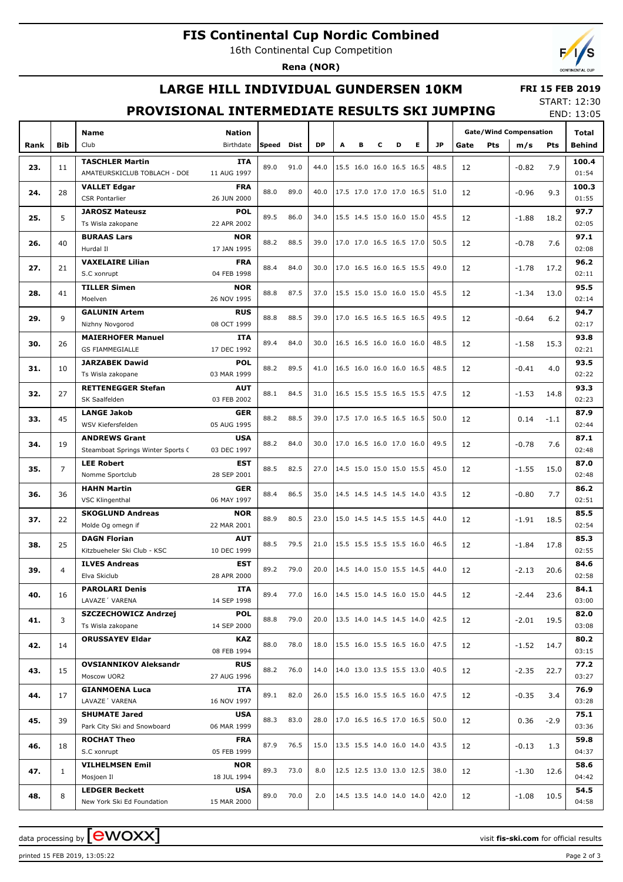# **FIS Continental Cup Nordic Combined**

16th Continental Cup Competition

**Rena (NOR)**



# **LARGE HILL INDIVIDUAL GUNDERSEN 10KM**

### **FRI 15 FEB 2019**

# **PROVISIONAL INTERMEDIATE RESULTS SKI JUMPING**

START: 12:30 END: 13:05

|      |                |                                              |                    |                    |           |      |                          |                          |                          |                          |                          |      |            |         | LIVU. IJ.VJ                   |               |       |
|------|----------------|----------------------------------------------|--------------------|--------------------|-----------|------|--------------------------|--------------------------|--------------------------|--------------------------|--------------------------|------|------------|---------|-------------------------------|---------------|-------|
|      |                | Name<br><b>Nation</b><br>Birthdate           |                    |                    |           |      |                          |                          |                          |                          |                          |      |            |         | <b>Gate/Wind Compensation</b> |               | Total |
| Rank | <b>Bib</b>     | Club                                         | Speed              | Dist               | <b>DP</b> | А    | в                        | c                        | D                        | Е                        | <b>JP</b>                | Gate | <b>Pts</b> | m/s     | Pts                           | Behind        |       |
|      |                | <b>TASCHLER Martin</b><br>ITA                |                    | 89.0               | 91.0      | 44.0 |                          |                          | 15.5 16.0 16.0 16.5 16.5 |                          |                          | 48.5 |            |         |                               | 7.9           | 100.4 |
| 23.  | 11             | AMATEURSKICLUB TOBLACH - DOE                 | 11 AUG 1997        |                    |           |      |                          |                          |                          |                          |                          |      | 12         |         | $-0.82$                       |               | 01:54 |
|      |                | <b>VALLET Edgar</b>                          | <b>FRA</b>         | 88.0               | 89.0      | 40.0 |                          |                          | 17.5 17.0 17.0 17.0 16.5 |                          |                          |      |            |         |                               |               | 100.3 |
| 24.  | 28             | <b>CSR Pontarlier</b>                        | 26 JUN 2000        |                    |           |      |                          |                          |                          |                          |                          | 51.0 | 12         |         | $-0.96$                       | 9.3           | 01:55 |
|      |                | <b>JAROSZ Mateusz</b>                        | <b>POL</b><br>89.5 |                    | 86.0      |      |                          | 15.5 14.5 15.0 16.0 15.0 |                          |                          |                          | 45.5 |            |         |                               |               | 97.7  |
| 25.  | 5              | Ts Wisla zakopane                            | 22 APR 2002        |                    |           | 34.0 |                          |                          |                          |                          |                          |      | 12         |         | $-1.88$                       | 18.2          | 02:05 |
|      |                | <b>BURAAS Lars</b>                           | <b>NOR</b>         | 88.2               | 88.5      |      |                          |                          | 17.0 17.0 16.5 16.5 17.0 |                          |                          | 50.5 |            |         |                               |               | 97.1  |
| 26.  | 40             | Hurdal II                                    | 17 JAN 1995        |                    |           | 39.0 |                          |                          |                          |                          |                          |      | 12         |         | $-0.78$                       | 7.6           | 02:08 |
| 27.  | 21             | <b>VAXELAIRE Lilian</b>                      | <b>FRA</b>         | 88.4               | 84.0      | 30.0 |                          |                          |                          |                          |                          | 49.0 | 12         |         | $-1.78$                       |               | 96.2  |
|      |                | S.C xonrupt                                  | 04 FEB 1998        |                    |           |      |                          |                          |                          |                          | 17.0 16.5 16.0 16.5 15.5 |      |            |         |                               | 17.2          | 02:11 |
| 28.  | 41             | <b>TILLER Simen</b>                          | <b>NOR</b>         | 88.8               | 87.5      | 37.0 |                          |                          | 15.5 15.0 15.0 16.0 15.0 |                          |                          | 45.5 | 12         |         | $-1.34$                       | 13.0          | 95.5  |
|      |                | Moelven                                      | 26 NOV 1995        |                    |           |      |                          |                          |                          |                          |                          |      |            |         |                               |               | 02:14 |
| 29.  | 9              | <b>GALUNIN Artem</b>                         | <b>RUS</b>         | 88.8               | 88.5      | 39.0 |                          |                          |                          |                          | 17.0 16.5 16.5 16.5 16.5 | 49.5 | 12         |         | $-0.64$                       | 6.2           | 94.7  |
|      |                | Nizhny Novgorod                              | 08 OCT 1999        |                    |           |      |                          |                          |                          |                          |                          |      |            |         |                               |               | 02:17 |
| 30.  | 26             | <b>MAIERHOFER Manuel</b>                     | <b>ITA</b>         | 89.4               | 84.0      | 30.0 |                          |                          |                          |                          | 16.5 16.5 16.0 16.0 16.0 | 48.5 | 12         |         | $-1.58$                       | 15.3          | 93.8  |
|      |                | <b>GS FIAMMEGIALLE</b>                       |                    |                    |           |      |                          |                          |                          |                          |                          |      |            |         |                               | 02:21         |       |
| 31.  | 10             | <b>JARZABEK Dawid</b>                        | <b>POL</b>         | 88.2               | 89.5      | 41.0 |                          |                          | 16.5 16.0 16.0 16.0 16.5 |                          |                          | 48.5 | 12         |         | $-0.41$                       | 4.0           | 93.5  |
|      |                | Ts Wisla zakopane                            |                    |                    |           |      |                          |                          |                          |                          |                          |      |            |         |                               | 02:22         |       |
| 32.  | 27             | <b>RETTENEGGER Stefan</b>                    | <b>AUT</b>         | 88.1               | 84.5      | 31.0 |                          |                          | 16.5 15.5 15.5 16.5 15.5 |                          |                          | 47.5 | 12         |         | $-1.53$                       | 14.8          | 93.3  |
|      |                | SK Saalfelden                                | 03 FEB 2002        |                    |           |      |                          |                          |                          |                          |                          |      |            |         |                               |               | 02:23 |
| 33.  | 45             | <b>LANGE Jakob</b>                           | <b>GER</b>         | 88.2               | 88.5      | 39.0 |                          |                          | 17.5 17.0 16.5 16.5 16.5 |                          |                          | 50.0 | 12         |         | 0.14                          | $-1.1$        | 87.9  |
|      |                | WSV Kiefersfelden                            | 05 AUG 1995        |                    |           |      |                          |                          |                          |                          |                          |      |            |         |                               |               | 02:44 |
| 34.  | 19             | <b>ANDREWS Grant</b>                         | <b>USA</b>         | 88.2               | 84.0      | 30.0 | 17.0 16.5 16.0 17.0 16.0 |                          |                          |                          |                          | 49.5 | 12         |         | $-0.78$                       | 7.6           | 87.1  |
|      | $\overline{7}$ | Steamboat Springs Winter Sports C            | 03 DEC 1997        |                    |           |      |                          |                          |                          |                          |                          |      |            |         |                               |               | 02:48 |
| 35.  |                | <b>LEE Robert</b>                            | <b>EST</b>         | 88.5               | 82.5      | 27.0 |                          |                          | 14.5 15.0 15.0 15.0 15.5 |                          |                          | 45.0 | 12         |         | $-1.55$                       | 15.0          | 87.0  |
|      | 36             | Nomme Sportclub                              | 28 SEP 2001        |                    |           |      |                          |                          |                          |                          |                          |      |            |         |                               |               | 02:48 |
| 36.  |                | <b>HAHN Martin</b>                           | <b>GER</b>         | 88.4               | 86.5      | 35.0 |                          |                          | 14.5 14.5 14.5 14.5 14.0 |                          |                          | 43.5 | 12         |         | $-0.80$                       | 7.7           | 86.2  |
|      |                | <b>VSC Klingenthal</b>                       | 06 MAY 1997        |                    |           |      |                          |                          |                          |                          |                          |      |            |         |                               |               | 02:51 |
| 37.  | 22             | <b>SKOGLUND Andreas</b><br>Molde Og omegn if | 22 MAR 2001        | <b>NOR</b><br>88.9 | 80.5      | 23.0 |                          |                          |                          |                          | 15.0 14.5 14.5 15.5 14.5 | 44.0 | 12<br>12   | $-1.91$ | 18.5<br>17.8                  | 85.5<br>02:54 |       |
|      |                | <b>DAGN Florian</b>                          | <b>AUT</b>         |                    |           |      |                          |                          |                          |                          |                          |      |            |         |                               | 85.3          |       |
| 38.  | 25             | Kitzbueheler Ski Club - KSC                  | 10 DEC 1999        | 88.5               | 79.5      | 21.0 |                          |                          |                          |                          | 15.5 15.5 15.5 15.5 16.0 | 46.5 |            | $-1.84$ |                               | 02:55         |       |
|      |                | <b>ILVES Andreas</b>                         | <b>EST</b>         |                    |           |      |                          |                          |                          |                          |                          |      |            |         |                               |               | 84.6  |
| 39.  | $\overline{4}$ | Elva Skiclub                                 | 28 APR 2000        |                    |           |      |                          |                          |                          |                          | 14.5 14.0 15.0 15.5 14.5 | 44.0 | 12         |         | $-2.13$                       | 20.6          | 02:58 |
|      |                | <b>PAROLARI Denis</b>                        |                    |                    |           |      |                          |                          |                          |                          |                          |      |            |         |                               | 84.1          |       |
| 40.  | 16             | LAVAZE' VARENA                               | 89.4               | 77.0               | 16.0      |      |                          |                          |                          | 14.5 15.0 14.5 16.0 15.0 | 44.5                     | 12   |            | $-2.44$ | 23.6                          | 03:00         |       |
|      |                | SZCZECHOWICZ Andrzej                         |                    |                    |           |      |                          |                          |                          |                          |                          |      |            |         |                               | 82.0          |       |
| 41.  | 3              | Ts Wisla zakopane                            | POL<br>14 SEP 2000 | 88.8               | 79.0      | 20.0 |                          |                          |                          |                          | 13.5 14.0 14.5 14.5 14.0 | 42.5 | 12         |         | $-2.01$                       | 19.5          | 03:08 |
|      |                | <b>ORUSSAYEV Eldar</b>                       | KAZ                |                    |           |      |                          |                          |                          |                          |                          |      |            |         |                               |               | 80.2  |
| 42.  | 14             |                                              | 08 FEB 1994        | 88.0               | 78.0      | 18.0 |                          |                          |                          |                          | 15.5 16.0 15.5 16.5 16.0 | 47.5 | 12         |         | $-1.52$                       | 14.7          | 03:15 |
|      |                | <b>OVSIANNIKOV Aleksandr</b>                 | <b>RUS</b>         |                    |           |      |                          |                          |                          |                          |                          |      |            |         |                               |               | 77.2  |
| 43.  | 15             | Moscow UOR2                                  | 27 AUG 1996        | 88.2               | 76.0      | 14.0 |                          |                          |                          |                          | 14.0 13.0 13.5 15.5 13.0 | 40.5 | 12         |         | $-2.35$                       | 22.7          | 03:27 |
|      |                | <b>GIANMOENA Luca</b>                        | ITA                |                    |           |      |                          |                          |                          |                          | 15.5 16.0 15.5 16.5 16.0 |      |            |         |                               |               | 76.9  |
| 44.  | 17             | LAVAZE' VARENA                               | 16 NOV 1997        | 89.1               | 82.0      | 26.0 |                          |                          |                          |                          |                          | 47.5 | 12         |         | $-0.35$                       | 3.4           | 03:28 |
|      |                | <b>SHUMATE Jared</b>                         | <b>USA</b>         |                    |           | 28.0 |                          |                          | 17.0 16.5 16.5 17.0 16.5 |                          |                          |      |            |         |                               |               | 75.1  |
| 45.  | 39             | Park City Ski and Snowboard                  | 06 MAR 1999        | 88.3               | 83.0      |      |                          |                          |                          |                          |                          | 50.0 | 12         |         | 0.36                          | $-2.9$        | 03:36 |
|      | 18             | <b>ROCHAT Theo</b>                           | <b>FRA</b>         | 87.9               | 76.5      | 15.0 |                          |                          |                          |                          | 13.5 15.5 14.0 16.0 14.0 | 43.5 |            |         |                               |               | 59.8  |
| 46.  |                | S.C xonrupt                                  | 05 FEB 1999        |                    |           |      |                          |                          |                          |                          |                          |      | 12         |         | $-0.13$                       | 1.3           | 04:37 |
| 47.  | $\mathbf{1}$   | <b>VILHELMSEN Emil</b>                       | <b>NOR</b>         | 89.3               | 73.0      | 8.0  |                          |                          | 12.5 12.5 13.0 13.0 12.5 |                          |                          | 38.0 | 12         |         | $-1.30$                       | 12.6          | 58.6  |
|      |                | Mosjoen Il                                   | 18 JUL 1994        |                    |           |      |                          |                          |                          |                          |                          |      |            |         |                               |               | 04:42 |
| 48.  | 8              | <b>LEDGER Beckett</b>                        | <b>USA</b>         | 89.0               | 70.0      | 2.0  |                          |                          |                          |                          | 14.5 13.5 14.0 14.0 14.0 | 42.0 | 12         |         | $-1.08$                       | 10.5          | 54.5  |
|      |                | New York Ski Ed Foundation                   | 15 MAR 2000        |                    |           |      |                          |                          |                          |                          |                          |      |            |         |                               |               | 04:58 |

data processing by  $\boxed{\text{ewOX}}$